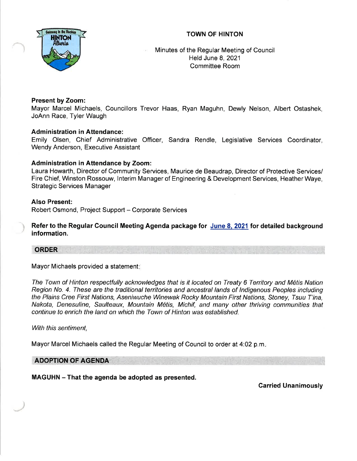## TOWN OF HINTON



Minutes of the Regular Meeting of Council Held June 8,2021 Committee Room

## Present by Zoom:

Mayor Marcel Michaels, Councillors Trevor Haas, Ryan Maguhn, Dewly Nelson, Albert Ostashek, JoAnn Race, Tyler Waugh

## **Administration in Attendance:**

Emily Olsen, Chief Administrative Officer, Sandra Rendle, Legislative Services Coordinator, Wendy Anderson, Executive Assistant

## Administration in Attendance by Zoom:

Laura Howarth, Director of Community Services, Maurice de Beaudrap, Director of Protective Services/ Fire Chief, Winston Rossouw, lnterim Manager of Engineering & Development Services, Heather Waye, Strategic Services Manager

## Also Present:

Robert Osmond, Project Support - Corporate Services

Refer to the Regular Council Meeting Agenda package for June 8. 2021 for detailed background information.

# ORDER

Mayor Michaels provided a statement

The Town of Hinton respectfully acknowledges that is it located on Treaty 6 Territory and M6tis Nation Region No. 4. Ihese are the traditional territories and ancestral lands of lndigenous Peoples including the Plains Cree First Nations, Aseniwuche Winewak Rocky Mountain First Nations, Sfoney, Tsuu T'ina, Nakota, Denesuline, Saulteaux, Mountain M6tis, Michif, and many other thriving communities that continue to enrich the land on which the Town of Hinton was established.

With this sentiment.

Mayor Marcel Michaels called the Regular Meeting of Council to order at 4:02 p.m.

## ADOPTION OF AGENDA

MAGUHN - That the agenda be adopted as presented.

Garried Unanimously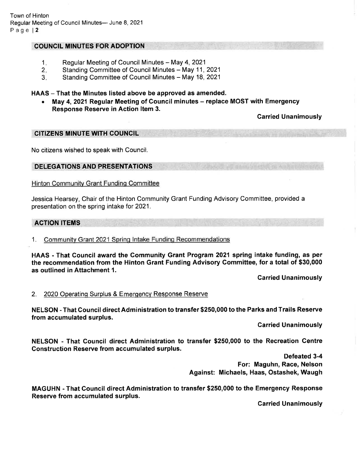Town of Hinton Regular Meeting of Council Minutes- June 8, 2021 Page | 2

#### COUNCIL MINUTES FOR ADOPTION

- Regular Meeting of Council Minutes May 4, 2021 1.
- Standing Committee of Council Minutes May 11, 2021 2.
- Standing Committee of Council Minutes May 18, 2021 3.

#### HAAS - That the Minutes listed above be approved as amended.

May 4, 2021 Regular Meeting of Council minutes – replace MOST with Emergency Response Reserve in Action ltem 3.

Carried Unanimously

### CITIZENS MINUTE WITH COUNCIL

No citizens wished to speak with Council.

#### DELEGATIONS AND PRESENTATIONS

Hinton Community Grant Funding Committee

Jessica Hearsey, Chair of the Hinton Community Grant Funding Advisory Committee, provided a presentation on the spring intake for 2021.

#### ACTION ITEMS

#### 1. Communitv Grant 2021 Sprinq lntake Funding Recommendations

HAAS - That Council award the Community Grant Program 2021 spring intake funding, as per the recommendation from the Hinton Grant Funding Advisory Committee, for a total of \$30,000 as outlined in Attachment 1.

Carried Unanimously

#### 2. 2020 Operating Surplus & Emergency Response Reserve

NELSON - That Gouncil direct Administration to transfer \$250,000 to the Parks and Trails Reserve from accumulated surplus.

Carried Unanimously

NELSON - That Council direct Administration to transfer \$250,000 to the Recreation Gentre Construction Reserve from accumulated surplus.

> Defeated 3-4 For: Maguhn, Race, Nelson Against: Michaels, Haas, Ostashek, Waugh

MAGUHN - That Council direct Administration to transfer \$250,000 to the Emergency Response Reserve from accumulated surplus.

Garried Unanimously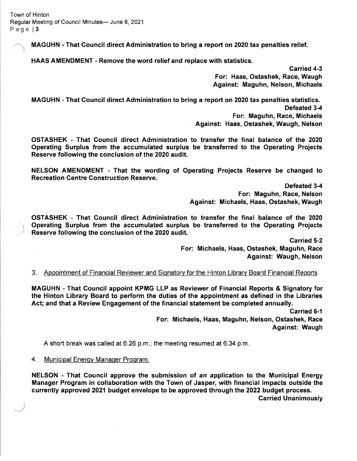Town of Hinton Regular Meeting of Council Minutes- June 8, 2021 Page l3

MAGUHN - That Council direct Administration to bring a report on 2020 tax penalties relief.

HAAS AMENDMENT - Remove the word relief and replace with statistics.

Garried 4-3 For: Haas, Ostashek, Race, Waugh Against: Maguhn, Nelson, Michaels

MAGUHN - That Gouncil direct Administration to bring a report on 2020 tax penalties statistics. Defeated 3-4 For: Maguhn, Race, Michaels Against: Haas, Ostashek, Waugh, Nelson

OSTASHEK - That Gouncil direct Administration to transfer the final balance of the <sup>2020</sup> Operating Surplus from the accumulated surplus be transferred to the Operating Projects Reserve following the conclusion of the 2020 audit.

NELSON AMENDMENT - That the wording of Operating Projects Reserve be changed to Recreation Gentre Gonstruction Reserve.

> Defeated 3-4 For: Maguhn, Race, Nelson Against: Michaels, Haas, Ostashek, Waugh

OSTASHEK - That Council direct Administration to transfer the final balance of the <sup>2020</sup> Operating Surplus from the accumulated surplus be transferred to the Operating Projects Reserve following the conclusion of the 2020 audit.

> Garried 5-2 For: Michaels, Haas, Ostashek, Maguhn, Race Against: Waugh, Nelson

Appointment of Financial Reviewer and Signatory for the Hinton Library Board Financial Reports 3.

MAGUHN - That Gouncil appoint KPMG LLP as Reviewer of Financial Reports & Signatory for the Hinton Library Board to perform the duties of the appointment as defined in the Libraries Act; and that a Review Engagement of the financial statement be completed annually.

> Garried 6-1 For: Michaels, Haas, Maguhn, Nelson, Ostashek, Race Against: Waugh

A short break was called at 6:26 p.m.; the meeting resumed at 6:34 p.m

4. Municipal Enerov Manaoer Proqram.

NELSON - That Council approve the submission of an application to the Municipal Energy Manager Program in collaboration with the Town of Jasper, with financial impacts outside the currently approved 2021 budget envelope to be approved through the 2022 budget process.

Carried Unanimously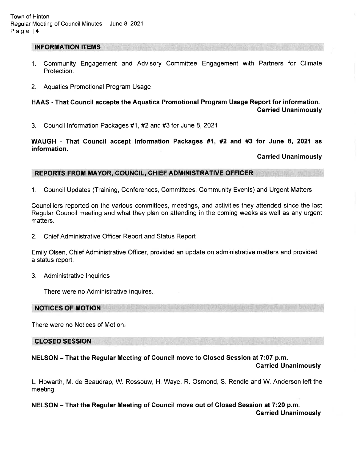#### INFORMATION ITEMS

- 1. Community Engagement and Advisory Committee Engagement with Partners for Climate Protection.
- 2. Aquatics Promotional Program Usage

## HAAS - That Gouncil accepts the Aquatics Promotional Program Usage Report for information. Carried Unanimously

3. Council lnformation Packages #1 , #2 and #3 for June 8, <sup>2021</sup>

WAUGH - That Council accept lnformation Packages #1, #2 and #3 for June 8, 2021 as information.

Garried Unanimously

### REPORTS FROM MAYOR, COUNCIL, CHIEF ADMINISTRATIVE OFFICER

1. Council Updates (Training, Conferences, Committees, Community Events) and Urgent Matters

Councillors reported on the various committees, meetings, and activities they attended since the last Regular Council meeting and what they plan on attending in the coming weeks as well as any urgent matters.

2. Chief Administrative Officer Report and Status Report

Emily Olsen, Chief Administrative Officer, provided an update on administrative matters and provided a status report.

3. Administrative lnquiries

There were no Administrative lnquires

NOTICES OF MOTION

There were no Notices of Motion

CLOSED SESSION

## NELSON - That the Regular Meeting of Council move to Closed Session at 7:07 p.m.

Carried Unanimously

L. Howarth, M. de Beaudrap, W. Rossouw, H. Waye, R. Osmond, S. Rendle and W. Anderson left the meeting.

NELSON - That the Regular Meeting of Council move out of Closed Session at 7:20 p.m. Carried Unanimously